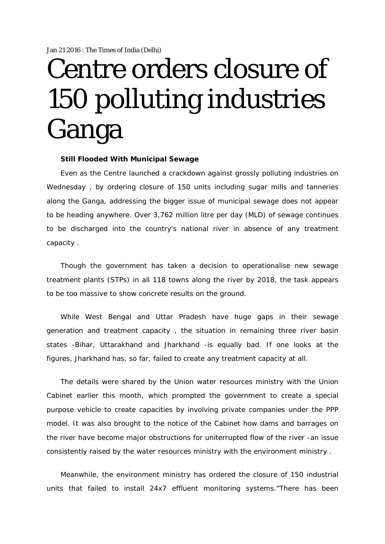## Centre orders closure of 150 polluting industries Ganga

## **Still Flooded With Municipal Sewage**

Even as the Centre launched a crackdown against grossly polluting industries on Wednesday , by ordering closure of 150 units including sugar mills and tanneries along the Ganga, addressing the bigger issue of municipal sewage does not appear to be heading anywhere. Over 3,762 million litre per day (MLD) of sewage continues to be discharged into the country's national river in absence of any treatment capacity .

Though the government has taken a decision to operationalise new sewage treatment plants (STPs) in all 118 towns along the river by 2018, the task appears to be too massive to show concrete results on the ground.

While West Bengal and Uttar Pradesh have huge gaps in their sewage generation and treatment capacity , the situation in remaining three river basin states -Bihar, Uttarakhand and Jharkhand -is equally bad. If one looks at the figures, Jharkhand has, so far, failed to create any treatment capacity at all.

The details were shared by the Union water resources ministry with the Union Cabinet earlier this month, which prompted the government to create a special purpose vehicle to create capacities by involving private companies under the PPP model. It was also brought to the notice of the Cabinet how dams and barrages on the river have become major obstructions for uniterrupted flow of the river -an issue consistently raised by the water resources ministry with the environment ministry .

Meanwhile, the environment ministry has ordered the closure of 150 industrial units that failed to install 24x7 effluent monitoring systems."There has been